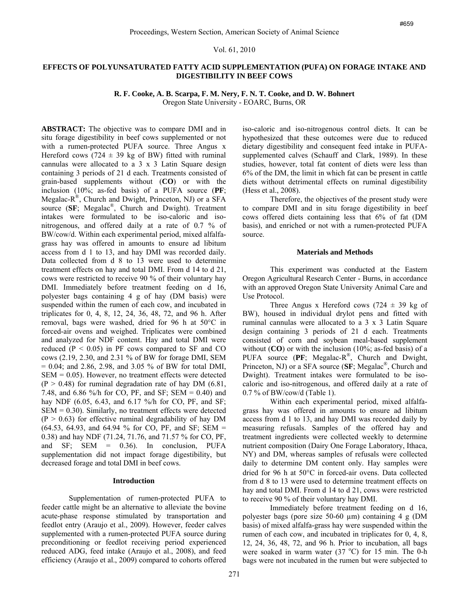### Vol. 61, 2010

# **EFFECTS OF POLYUNSATURATED FATTY ACID SUPPLEMENTATION (PUFA) ON FORAGE INTAKE AND DIGESTIBILITY IN BEEF COWS**

**R. F. Cooke, A. B. Scarpa, F. M. Nery, F. N. T. Cooke, and D. W. Bohnert**

Oregon State University - EOARC, Burns, OR

**ABSTRACT:** The objective was to compare DMI and in situ forage digestibility in beef cows supplemented or not with a rumen-protected PUFA source. Three Angus x Hereford cows (724  $\pm$  39 kg of BW) fitted with ruminal cannulas were allocated to a 3 x 3 Latin Square design containing 3 periods of 21 d each. Treatments consisted of grain-based supplements without (**CO**) or with the inclusion (10%; as-fed basis) of a PUFA source (**PF**; Megalac- $R^{\mathcal{B}}$ , Church and Dwight, Princeton, NJ) or a SFA source (**SF**; Megalac®, Church and Dwight). Treatment intakes were formulated to be iso-caloric and isonitrogenous, and offered daily at a rate of 0.7 % of BW/cow/d. Within each experimental period, mixed alfalfagrass hay was offered in amounts to ensure ad libitum access from d 1 to 13, and hay DMI was recorded daily. Data collected from d 8 to 13 were used to determine treatment effects on hay and total DMI. From d 14 to d 21, cows were restricted to receive 90 % of their voluntary hay DMI. Immediately before treatment feeding on d 16, polyester bags containing 4 g of hay (DM basis) were suspended within the rumen of each cow, and incubated in triplicates for 0, 4, 8, 12, 24, 36, 48, 72, and 96 h. After removal, bags were washed, dried for 96 h at 50°C in forced-air ovens and weighed. Triplicates were combined and analyzed for NDF content. Hay and total DMI were reduced  $(P < 0.05)$  in PF cows compared to SF and CO cows (2.19, 2.30, and 2.31 % of BW for forage DMI, SEM  $= 0.04$ ; and 2.86, 2.98, and 3.05 % of BW for total DMI,  $SEM = 0.05$ ). However, no treatment effects were detected  $(P > 0.48)$  for ruminal degradation rate of hay DM  $(6.81, 1.4)$ 7.48, and 6.86 %/h for CO, PF, and SF; SEM = 0.40) and hay NDF (6.05, 6.43, and 6.17 %/h for CO, PF, and SF;  $SEM = 0.30$ . Similarly, no treatment effects were detected  $(P > 0.63)$  for effective ruminal degradability of hay DM  $(64.53, 64.93, and 64.94 \%$  for CO, PF, and SF; SEM = 0.38) and hay NDF (71.24, 71.76, and 71.57 % for CO, PF, and SF; SEM = 0.36). In conclusion, PUFA supplementation did not impact forage digestibility, but decreased forage and total DMI in beef cows.

## **Introduction**

Supplementation of rumen-protected PUFA to feeder cattle might be an alternative to alleviate the bovine acute-phase response stimulated by transportation and feedlot entry (Araujo et al., 2009). However, feeder calves supplemented with a rumen-protected PUFA source during preconditioning or feedlot receiving period experienced reduced ADG, feed intake (Araujo et al., 2008), and feed efficiency (Araujo et al., 2009) compared to cohorts offered

iso-caloric and iso-nitrogenous control diets. It can be hypothesized that these outcomes were due to reduced dietary digestibility and consequent feed intake in PUFAsupplemented calves (Schauff and Clark, 1989). In these studies, however, total fat content of diets were less than 6% of the DM, the limit in which fat can be present in cattle diets without detrimental effects on ruminal digestibility (Hess et al., 2008).

Therefore, the objectives of the present study were to compare DMI and in situ forage digestibility in beef cows offered diets containing less that 6% of fat (DM basis), and enriched or not with a rumen-protected PUFA source.

## **Materials and Methods**

This experiment was conducted at the Eastern Oregon Agricultural Research Center - Burns, in accordance with an approved Oregon State University Animal Care and Use Protocol.

Three Angus x Hereford cows (724  $\pm$  39 kg of BW), housed in individual drylot pens and fitted with ruminal cannulas were allocated to a 3 x 3 Latin Square design containing 3 periods of 21 d each. Treatments consisted of corn and soybean meal-based supplement without (**CO**) or with the inclusion (10%; as-fed basis) of a PUFA source (**PF**; Megalac-R®, Church and Dwight, Princeton, NJ) or a SFA source (**SF**; Megalac®, Church and Dwight). Treatment intakes were formulated to be isocaloric and iso-nitrogenous, and offered daily at a rate of 0.7 % of BW/cow/d (Table 1).

Within each experimental period, mixed alfalfagrass hay was offered in amounts to ensure ad libitum access from d 1 to 13, and hay DMI was recorded daily by measuring refusals. Samples of the offered hay and treatment ingredients were collected weekly to determine nutrient composition (Dairy One Forage Laboratory, Ithaca, NY) and DM, whereas samples of refusals were collected daily to determine DM content only. Hay samples were dried for 96 h at 50°C in forced-air ovens. Data collected from d 8 to 13 were used to determine treatment effects on hay and total DMI. From d 14 to d 21, cows were restricted to receive 90 % of their voluntary hay DMI.

Immediately before treatment feeding on d 16, polyester bags (pore size 50-60 µm) containing 4 g (DM basis) of mixed alfalfa-grass hay were suspended within the rumen of each cow, and incubated in triplicates for 0, 4, 8, 12, 24, 36, 48, 72, and 96 h. Prior to incubation, all bags were soaked in warm water  $(37 °C)$  for 15 min. The 0-h bags were not incubated in the rumen but were subjected to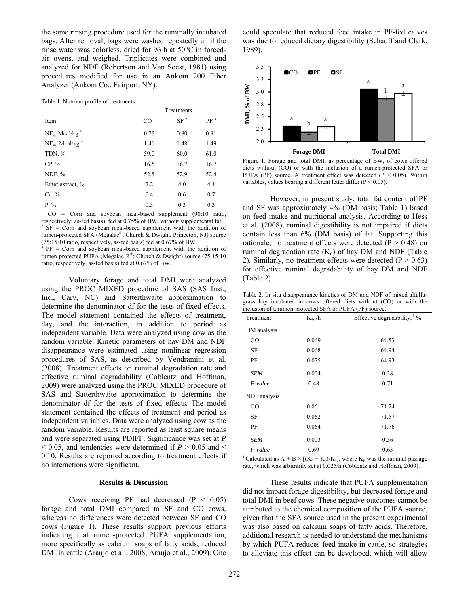the same rinsing procedure used for the ruminally incubated bags. After removal, bags were washed repeatedly until the rinse water was colorless, dried for 96 h at 50°C in forcedair ovens, and weighed. Triplicates were combined and analyzed for NDF (Robertson and Van Soest, 1981) using procedures modified for use in an Ankom 200 Fiber Analyzer (Ankom Co., Fairport, NY).

|                                        | Treatments      |                 |                 |
|----------------------------------------|-----------------|-----------------|-----------------|
| Item                                   | CO <sup>1</sup> | SF <sup>2</sup> | PF <sup>3</sup> |
| $NEg$ , Mcal/kg <sup>4</sup>           | 0.75            | 0.80            | 0.81            |
| NE <sub>m</sub> , Mcal/kg <sup>4</sup> | 1.41            | 1.48            | 1.49            |
| TDN, %                                 | 59.0            | 60.0            | 61.0            |
| $CP, \%$                               | 16.5            | 16.7            | 16.7            |
| $NDF, \%$                              | 52.5            | 52.9            | 52.4            |
| Ether extract, %                       | 2.2             | 4.0             | 4.1             |
| Ca, %                                  | 0.4             | 0.6             | 0.7             |
| $P, \%$                                | 0.3             | 0.3             | 0.3             |

 $1 \text{ CO} = \text{Com}$  and soybean meal-based supplement (90:10 ratio, respectively; as-fed basis), fed at 0.75% of BW, without supplemental fat. 2 SF = Corn and soybean meal-based supplement with the addition of rumen-protected SFA (Megalac®; Church & Dwight, Princeton, NJ) source (75:15:10 ratio, respectively, as-fed basis) fed at 0.67% of BW.

3 PF = Corn and soybean meal-based supplement with the addition of rumen-protected PUFA (Megalac-R®; Church & Dwight) source (75:15:10 ratio, respectively, as-fed basis) fed at 0.67% of BW.

Voluntary forage and total DMI were analyzed using the PROC MIXED procedure of SAS (SAS Inst., Inc., Cary, NC) and Satterthwaite approximation to determine the denominator df for the tests of fixed effects. The model statement contained the effects of treatment, day, and the interaction, in addition to period as independent variable. Data were analyzed using cow as the random variable. Kinetic parameters of hay DM and NDF disappearance were estimated using nonlinear regression procedures of SAS, as described by Vendramini et al. (2008). Treatment effects on ruminal degradation rate and effective ruminal degradability (Coblentz and Hoffman, 2009) were analyzed using the PROC MIXED procedure of SAS and Satterthwaite approximation to determine the denominator df for the tests of fixed effects. The model statement contained the effects of treatment and period as independent variables. Data were analyzed using cow as the random variable. Results are reported as least square means and were separated using PDIFF. Significance was set at *P*  $\leq$  0.05, and tendencies were determined if *P* > 0.05 and  $\leq$ 0.10. Results are reported according to treatment effects if no interactions were significant.

#### **Results & Discussion**

Cows receiving PF had decreased  $(P < 0.05)$ forage and total DMI compared to SF and CO cows, whereas no differences were detected between SF and CO cows (Figure 1). These results support previous efforts indicating that rumen-protected PUFA supplementation, more specifically as calcium soaps of fatty acids, reduced DMI in cattle (Araujo et al., 2008, Araujo et al., 2009). One could speculate that reduced feed intake in PF-fed calves was due to reduced dietary digestibility (Schauff and Clark, 1989).



Figure 1. Forage and total DMI, as percentage of BW, of cows offered diets without (CO) or with the inclusion of a rumen-protected SFA or PUFA (PF) source. A treatment effect was detected ( $P < 0.05$ ). Within variables, values bearing a different letter differ (P < 0.05).

However, in present study, total fat content of PF and SF was approximately 4% (DM basis; Table 1) based on feed intake and nutritional analysis. According to Hess et al. (2008), ruminal digestibility is not impaired if diets contain less than 6% (DM basis) of fat. Supporting this rationale, no treatment effects were detected ( $P > 0.48$ ) on ruminal degradation rate  $(K_d)$  of hay DM and NDF (Table 2). Similarly, no treatment effects were detected  $(P > 0.63)$ for effective ruminal degradability of hay DM and NDF (Table 2).

Table 2. In situ disappearance kinetics of DM and NDF of mixed alfalfagrass hay incubated in cows offered diets without (CO) or with the inclusion of a rumen-protected SFA or PUFA (PF) source.

| Treatment    | $K_d$ , /h | Effective degradability, $\frac{1}{6}$ % |
|--------------|------------|------------------------------------------|
| DM analysis  |            |                                          |
| CO           | 0.069      | 64.53                                    |
| <b>SF</b>    | 0.068      | 64.94                                    |
| PF           | 0.075      | 64.93                                    |
| SEM          | 0.004      | 0.38                                     |
| $P-value$    | 0.48       | 0.71                                     |
| NDF analysis |            |                                          |
| CO           | 0.061      | 71.24                                    |
| SF           | 0.062      | 71.57                                    |
| PF           | 0.064      | 71.76                                    |
| SEM          | 0.003      | 0.36                                     |
| P-value      | 0.69       | 0.63                                     |

<sup>1</sup> Calculated as A + B ×  $[(K_d + K_p)/K_d]$ , where K<sub>p</sub> was the ruminal passage rate, which was arbitrarily set at 0.025/h (Coblentz and Hoffman, 2009).

These results indicate that PUFA supplementation did not impact forage digestibility, but decreased forage and total DMI in beef cows. These negative outcomes cannot be attributed to the chemical composition of the PUFA source, given that the SFA source used in the present experimental was also based on calcium soaps of fatty acids. Therefore, additional research is needed to understand the mechanisms by which PUFA reduces feed intake in cattle, so strategies to alleviate this effect can be developed, which will allow